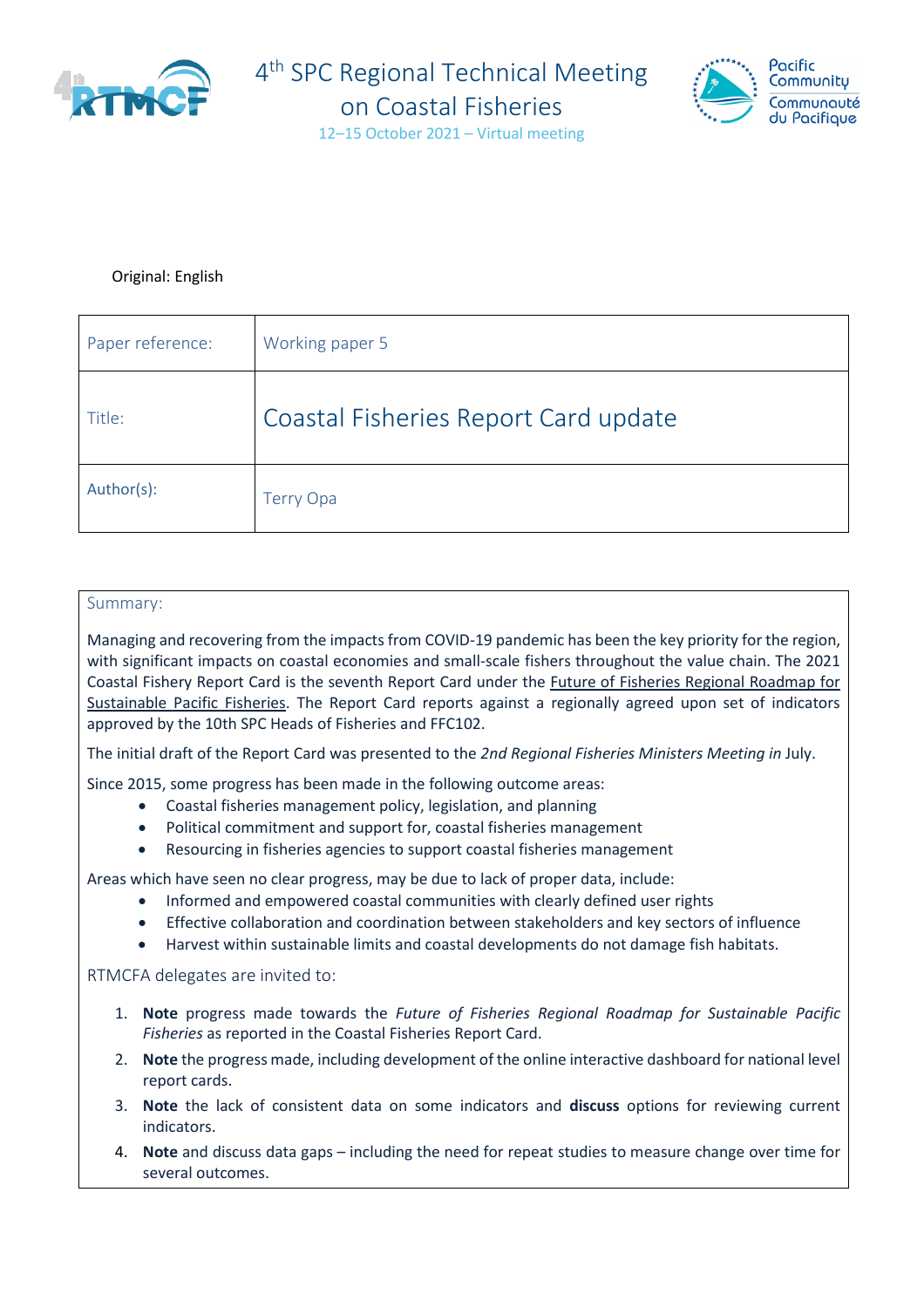



#### Original: English

| Paper reference: | Working paper 5                      |
|------------------|--------------------------------------|
| Title:           | Coastal Fisheries Report Card update |
| Author(s):       | <b>Terry Opa</b>                     |

#### Summary:

Managing and recovering from the impacts from COVID-19 pandemic has been the key priority for the region, with significant impacts on coastal economies and small-scale fishers throughout the value chain. The 2021 Coastal Fishery Report Card is the seventh Report Card under the [Future of Fisheries Regional Roadmap for](http://purl.org/spc/digilib/doc/xnc9f)  [Sustainable Pacific Fisheries.](http://purl.org/spc/digilib/doc/xnc9f) The Report Card reports against a regionally agreed upon set of indicators approved by the 10th SPC Heads of Fisheries and FFC102.

The initial draft of the Report Card was presented to the *2nd Regional Fisheries Ministers Meeting in* July.

Since 2015, some progress has been made in the following outcome areas:

- Coastal fisheries management policy, legislation, and planning
- Political commitment and support for, coastal fisheries management
- Resourcing in fisheries agencies to support coastal fisheries management

Areas which have seen no clear progress, may be due to lack of proper data, include:

- Informed and empowered coastal communities with clearly defined user rights
- Effective collaboration and coordination between stakeholders and key sectors of influence
- Harvest within sustainable limits and coastal developments do not damage fish habitats.

#### RTMCFA delegates are invited to:

- 1. **Note** progress made towards the *Future of Fisheries Regional Roadmap for Sustainable Pacific Fisheries* as reported in the Coastal Fisheries Report Card.
- 2. **Note** the progress made, including development of the online interactive dashboard for national level report cards.
- 3. **Note** the lack of consistent data on some indicators and **discuss** options for reviewing current indicators.
- 4. **Note** and discuss data gaps including the need for repeat studies to measure change over time for several outcomes.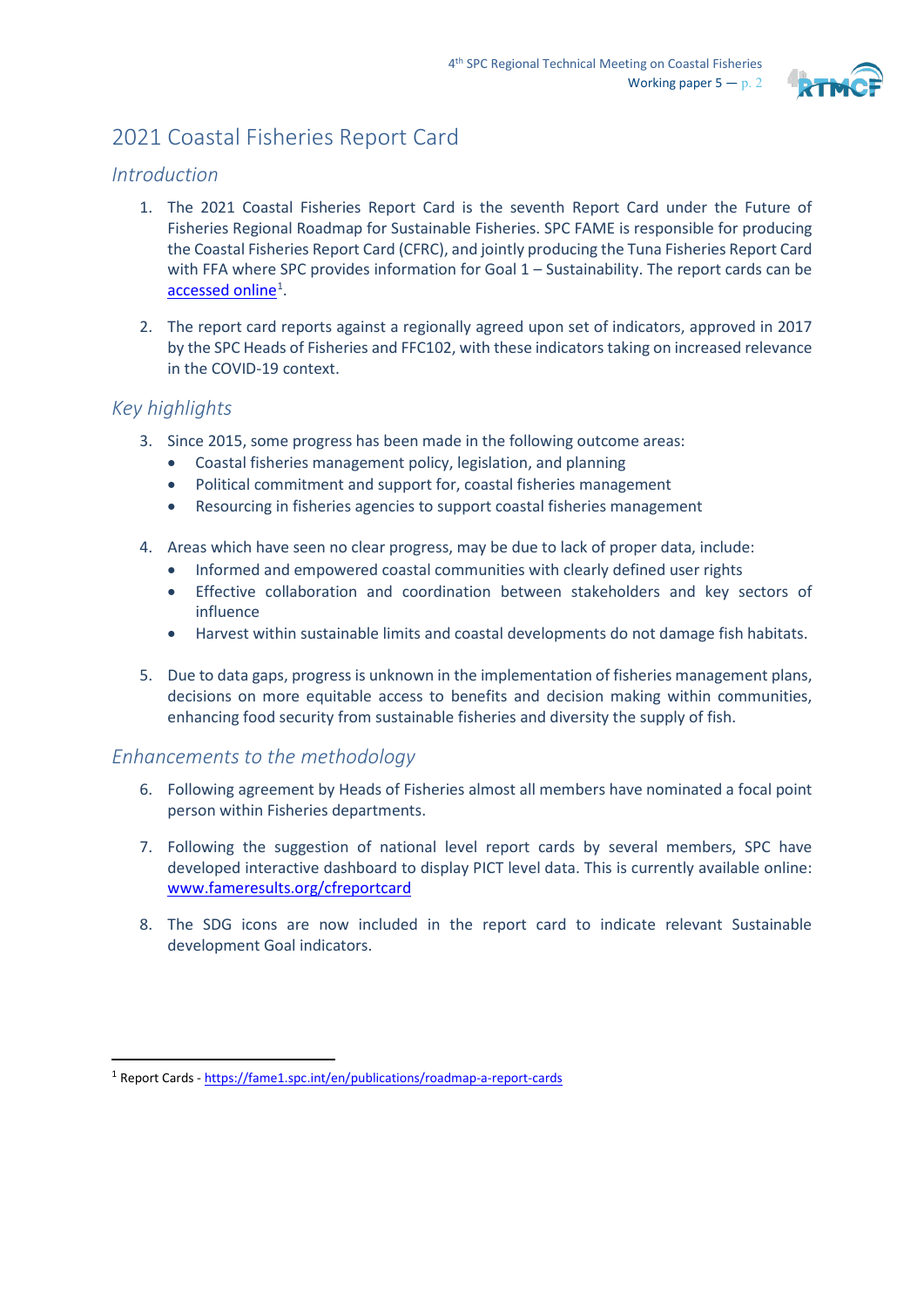

# 2021 Coastal Fisheries Report Card

#### *Introduction*

- 1. The 2021 Coastal Fisheries Report Card is the seventh Report Card under the Future of Fisheries Regional Roadmap for Sustainable Fisheries. SPC FAME is responsible for producing the Coastal Fisheries Report Card (CFRC), and jointly producing the Tuna Fisheries Report Card with FFA where SPC provides information for Goal 1 – Sustainability. The report cards can be [accessed online](https://fame1.spc.int/en/publications/roadmap-a-report-cards)<sup>[1](#page-1-0)</sup>.
- 2. The report card reports against a regionally agreed upon set of indicators, approved in 2017 by the SPC Heads of Fisheries and FFC102, with these indicators taking on increased relevance in the COVID-19 context.

#### *Key highlights*

- 3. Since 2015, some progress has been made in the following outcome areas:
	- Coastal fisheries management policy, legislation, and planning
	- Political commitment and support for, coastal fisheries management
	- Resourcing in fisheries agencies to support coastal fisheries management
- 4. Areas which have seen no clear progress, may be due to lack of proper data, include:
	- Informed and empowered coastal communities with clearly defined user rights
	- Effective collaboration and coordination between stakeholders and key sectors of influence
	- Harvest within sustainable limits and coastal developments do not damage fish habitats.
- 5. Due to data gaps, progress is unknown in the implementation of fisheries management plans, decisions on more equitable access to benefits and decision making within communities, enhancing food security from sustainable fisheries and diversity the supply of fish.

### *Enhancements to the methodology*

- 6. Following agreement by Heads of Fisheries almost all members have nominated a focal point person within Fisheries departments.
- 7. Following the suggestion of national level report cards by several members, SPC have developed interactive dashboard to display PICT level data. This is currently available online: [www.fameresults.org/cfreportcard](http://www.fameresults.org/cfreportcard)
- 8. The SDG icons are now included in the report card to indicate relevant Sustainable development Goal indicators.

<span id="page-1-0"></span><sup>1</sup> Report Cards - <https://fame1.spc.int/en/publications/roadmap-a-report-cards>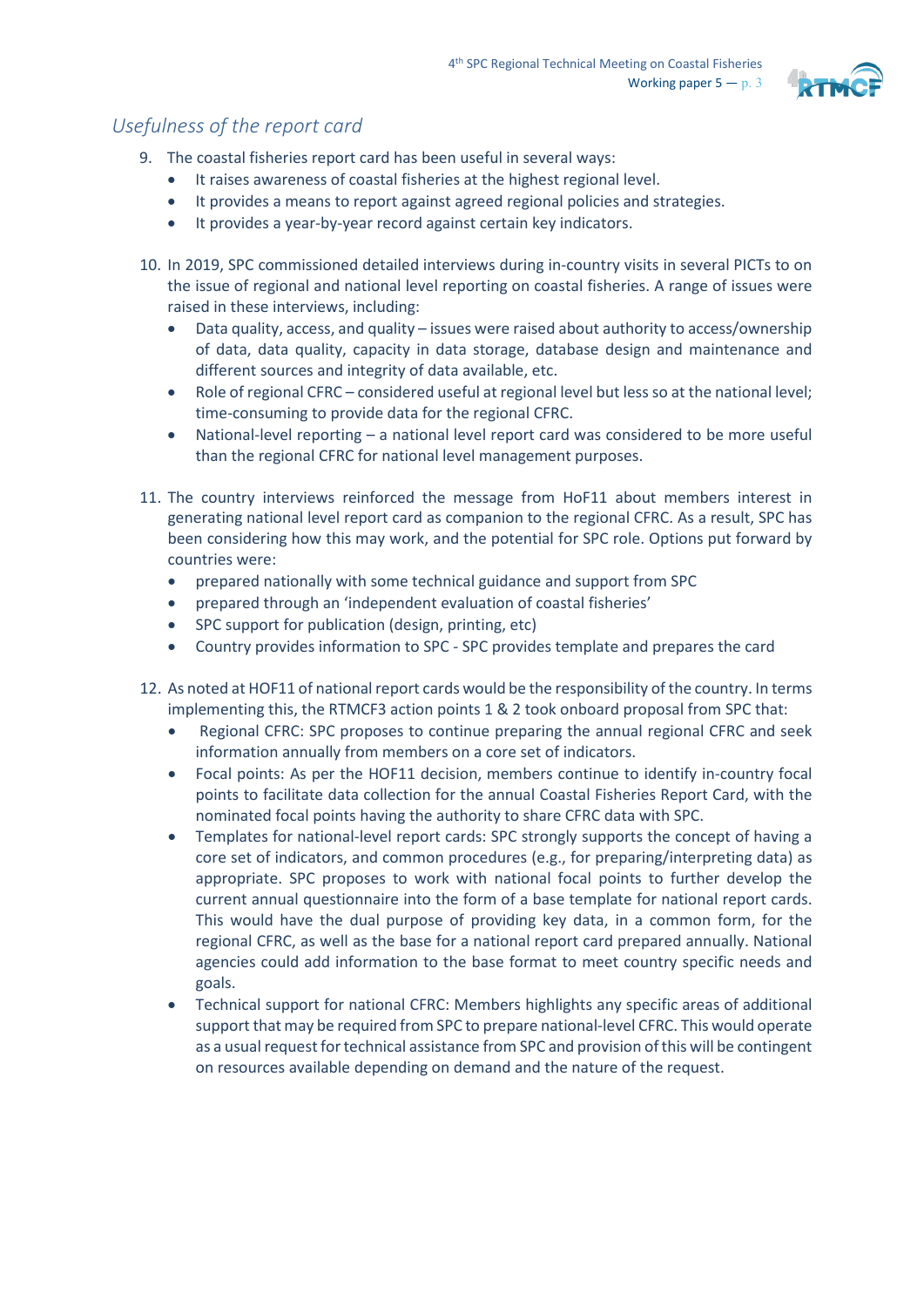

## *Usefulness of the report card*

- 9. The coastal fisheries report card has been useful in several ways:
	- It raises awareness of coastal fisheries at the highest regional level.
	- It provides a means to report against agreed regional policies and strategies.
	- It provides a year-by-year record against certain key indicators.
- 10. In 2019, SPC commissioned detailed interviews during in-country visits in several PICTs to on the issue of regional and national level reporting on coastal fisheries. A range of issues were raised in these interviews, including:
	- Data quality, access, and quality issues were raised about authority to access/ownership of data, data quality, capacity in data storage, database design and maintenance and different sources and integrity of data available, etc.
	- Role of regional CFRC considered useful at regional level but less so at the national level; time-consuming to provide data for the regional CFRC.
	- National-level reporting a national level report card was considered to be more useful than the regional CFRC for national level management purposes.
- 11. The country interviews reinforced the message from HoF11 about members interest in generating national level report card as companion to the regional CFRC. As a result, SPC has been considering how this may work, and the potential for SPC role. Options put forward by countries were:
	- prepared nationally with some technical guidance and support from SPC
	- prepared through an 'independent evaluation of coastal fisheries'
	- SPC support for publication (design, printing, etc)
	- Country provides information to SPC SPC provides template and prepares the card
- 12. As noted at HOF11 of national report cards would be the responsibility of the country. In terms implementing this, the RTMCF3 action points 1 & 2 took onboard proposal from SPC that:
	- Regional CFRC: SPC proposes to continue preparing the annual regional CFRC and seek information annually from members on a core set of indicators.
	- Focal points: As per the HOF11 decision, members continue to identify in-country focal points to facilitate data collection for the annual Coastal Fisheries Report Card, with the nominated focal points having the authority to share CFRC data with SPC.
	- Templates for national-level report cards: SPC strongly supports the concept of having a core set of indicators, and common procedures (e.g., for preparing/interpreting data) as appropriate. SPC proposes to work with national focal points to further develop the current annual questionnaire into the form of a base template for national report cards. This would have the dual purpose of providing key data, in a common form, for the regional CFRC, as well as the base for a national report card prepared annually. National agencies could add information to the base format to meet country specific needs and goals.
	- Technical support for national CFRC: Members highlights any specific areas of additional support that may be required from SPC to prepare national-level CFRC. This would operate as a usual request for technical assistance from SPC and provision of this will be contingent on resources available depending on demand and the nature of the request.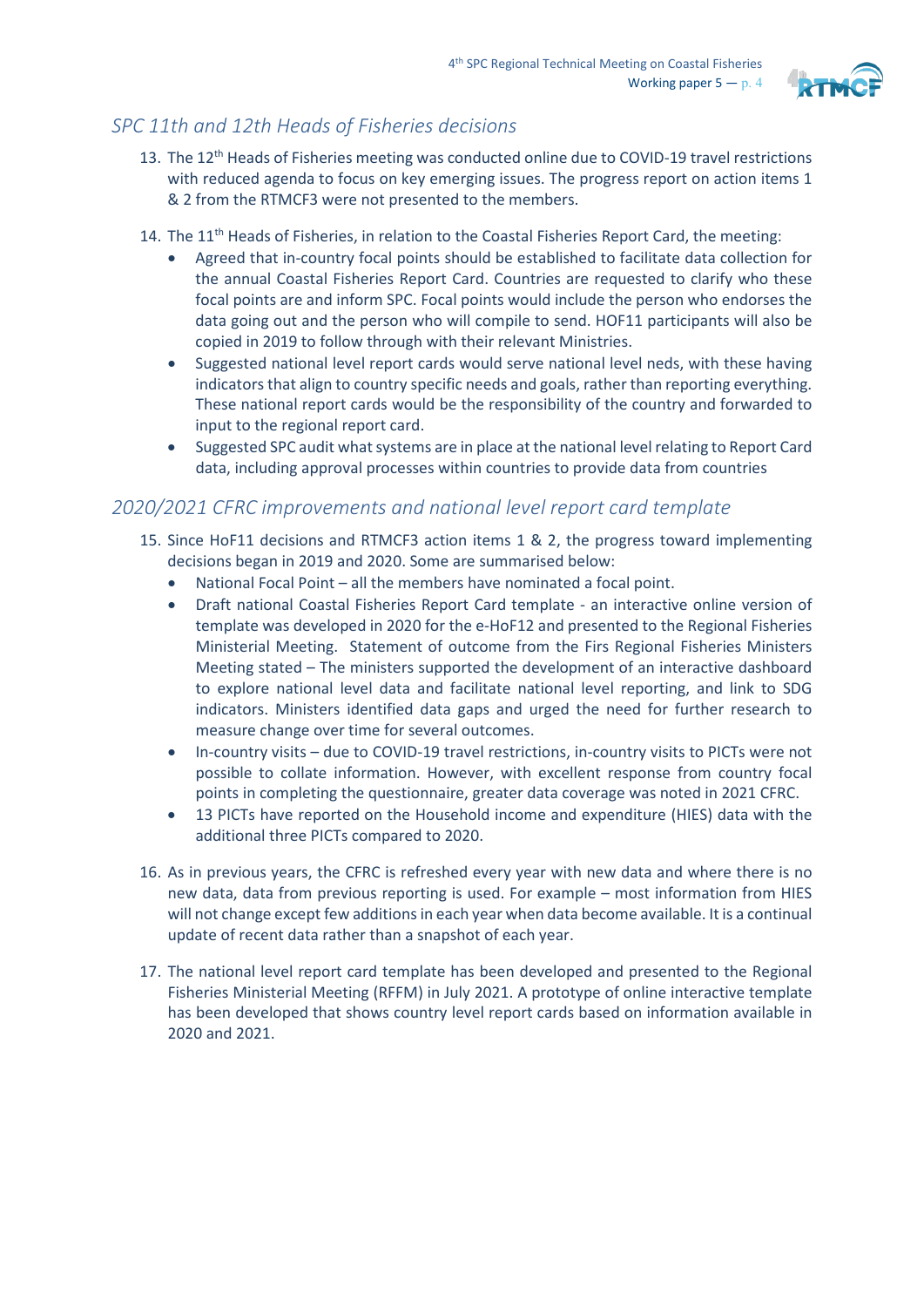

# *SPC 11th and 12th Heads of Fisheries decisions*

- 13. The 12<sup>th</sup> Heads of Fisheries meeting was conducted online due to COVID-19 travel restrictions with reduced agenda to focus on key emerging issues. The progress report on action items 1 & 2 from the RTMCF3 were not presented to the members.
- 14. The  $11<sup>th</sup>$  Heads of Fisheries, in relation to the Coastal Fisheries Report Card, the meeting:
	- Agreed that in-country focal points should be established to facilitate data collection for the annual Coastal Fisheries Report Card. Countries are requested to clarify who these focal points are and inform SPC. Focal points would include the person who endorses the data going out and the person who will compile to send. HOF11 participants will also be copied in 2019 to follow through with their relevant Ministries.
	- Suggested national level report cards would serve national level neds, with these having indicators that align to country specific needs and goals, rather than reporting everything. These national report cards would be the responsibility of the country and forwarded to input to the regional report card.
	- Suggested SPC audit what systems are in place at the national level relating to Report Card data, including approval processes within countries to provide data from countries

## *2020/2021 CFRC improvements and national level report card template*

- 15. Since HoF11 decisions and RTMCF3 action items 1 & 2, the progress toward implementing decisions began in 2019 and 2020. Some are summarised below:
	- National Focal Point all the members have nominated a focal point.
	- Draft national Coastal Fisheries Report Card template an interactive online version of template was developed in 2020 for the e-HoF12 and presented to the Regional Fisheries Ministerial Meeting. Statement of outcome from the Firs Regional Fisheries Ministers Meeting stated – The ministers supported the development of an interactive dashboard to explore national level data and facilitate national level reporting, and link to SDG indicators. Ministers identified data gaps and urged the need for further research to measure change over time for several outcomes.
	- In-country visits due to COVID-19 travel restrictions, in-country visits to PICTs were not possible to collate information. However, with excellent response from country focal points in completing the questionnaire, greater data coverage was noted in 2021 CFRC.
	- 13 PICTs have reported on the Household income and expenditure (HIES) data with the additional three PICTs compared to 2020.
- 16. As in previous years, the CFRC is refreshed every year with new data and where there is no new data, data from previous reporting is used. For example – most information from HIES will not change except few additions in each year when data become available. It is a continual update of recent data rather than a snapshot of each year.
- 17. The national level report card template has been developed and presented to the Regional Fisheries Ministerial Meeting (RFFM) in July 2021. A prototype of online interactive template has been developed that shows country level report cards based on information available in 2020 and 2021.